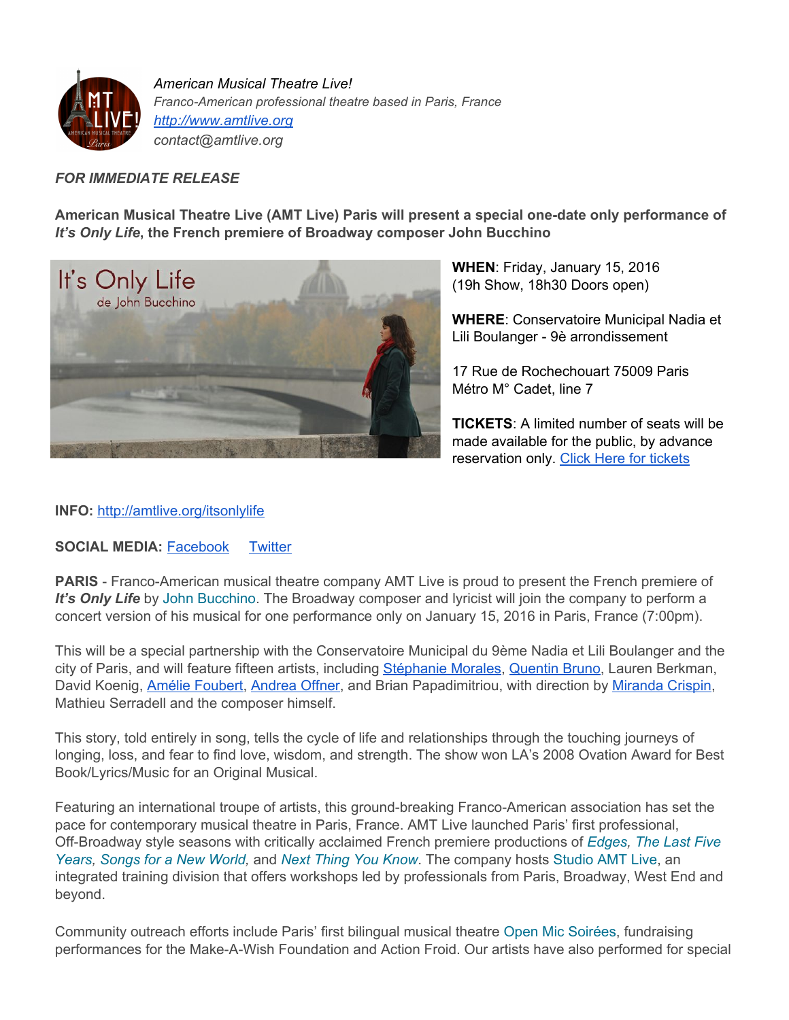

*American Musical Theatre Live! FrancoAmerican professional theatre based in Paris, France [http://www.amtlive.org](http://www.amtlive.org/) contact@amtlive.org*

## *FOR IMMEDIATE RELEASE*

**American Musical Theatre Live (AMT Live) Paris will present a special onedate only performance of** *It's Only Life***, the French premiere of Broadway composer John Bucchino**



**WHEN**: Friday, January 15, 2016 (19h Show, 18h30 Doors open)

**WHERE**: Conservatoire Municipal Nadia et Lili Boulanger - 9è arrondissement

17 Rue de Rochechouart 75009 Paris Métro M° Cadet, line 7

**TICKETS**: A limited number of seats will be made available for the public, by advance reservation only. Click Here for [tickets](https://www.eventbrite.com/e/its-only-life-a-new-musical-revue-by-john-bucchino-registration-19842277787)

## **INFO:** <http://amtlive.org/itsonlylife>

**SOCIAL MEDIA:**[Facebook](https://www.facebook.com/AmericanMusicalTheatreLiveParis) [Twitter](https://twitter.com/amtliveparis)

**PARIS** - Franco-American musical theatre company AMT Live is proud to present the French premiere of It's **Only Life** by John [Bucchino.](http://www.johnbucchino.com/) The Broadway composer and lyricist will join the company to perform a concert version of his musical for one performance only on January 15, 2016 in Paris, France (7:00pm).

This will be a special partnership with the Conservatoire Municipal du 9ème Nadia et Lili Boulanger and the city of Paris, and will feature fifteen artists, including [Stéphanie](http://www.stephanie-morales.com/) Morales, [Quentin](http://www.iamquentinbruno.com/) Bruno, Lauren Berkman, David Koenig, Amélie [Foubert,](http://foubertamelie.wix.com/ameliefoubert) [Andrea](https://andreaoffner.wordpress.com/) Offner, and Brian Papadimitriou, with direction by [Miranda](http://www.mirandacrispin.com/) Crispin, Mathieu Serradell and the composer himself.

This story, told entirely in song, tells the cycle of life and relationships through the touching journeys of longing, loss, and fear to find love, wisdom, and strength. The show won LA's 2008 Ovation Award for Best Book/Lyrics/Music for an Original Musical.

Featuring an international troupe of artists, this ground-breaking Franco-American association has set the pace for contemporary musical theatre in Paris, France. AMT Live launched Paris' first professional, Off-Broadway style seasons with critically acclaimed French premiere productions of *[Edges,](http://amtlive.org/edges-amt-live-paris-production/) The [Last](http://amtlive.org/the-last-five-years-paris-production/) Five [Years,](http://amtlive.org/the-last-five-years-paris-production/) [Songs](http://amtlive.org/songs-for-a-new-world-amt-live-paris-production/) for a New World,* and *Next Thing You [Know](http://amtlive.org/ntyk/)*. The company hosts [Studio](http://amtlive.org/education/) AMT Live, an integrated training division that offers workshops led by professionals from Paris, Broadway, West End and beyond.

Community outreach efforts include Paris' first bilingual musical theatre Open Mic [Soirées](http://amtlive.org/community/open-mic-soirees/), fundraising performances for the Make-A-Wish Foundation and Action Froid. Our artists have also performed for special